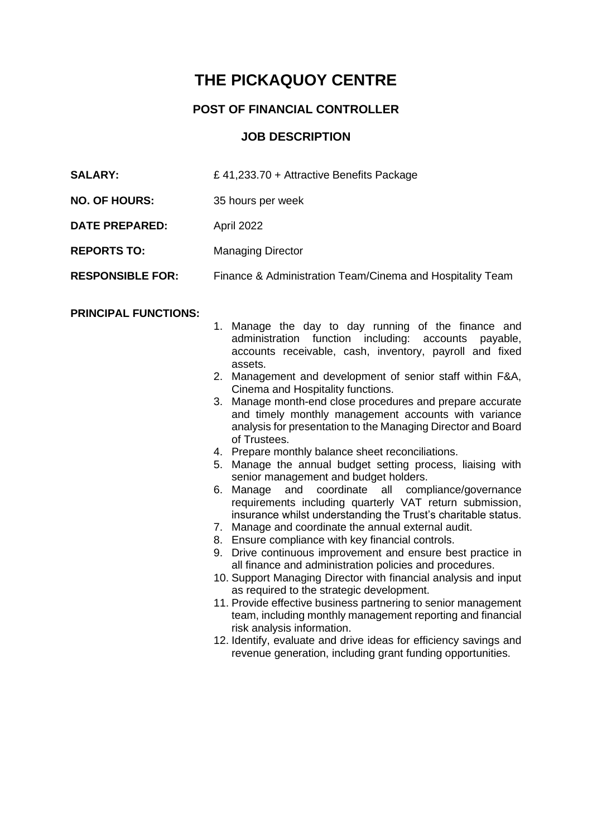# **THE PICKAQUOY CENTRE**

## **POST OF FINANCIAL CONTROLLER**

### **JOB DESCRIPTION**

| <b>SALARY:</b>          | £ 41,233.70 + Attractive Benefits Package                 |
|-------------------------|-----------------------------------------------------------|
| <b>NO. OF HOURS:</b>    | 35 hours per week                                         |
| <b>DATE PREPARED:</b>   | April 2022                                                |
| <b>REPORTS TO:</b>      | <b>Managing Director</b>                                  |
| <b>RESPONSIBLE FOR:</b> | Finance & Administration Team/Cinema and Hospitality Team |

#### **PRINCIPAL FUNCTIONS:**

- 1. Manage the day to day running of the finance and administration function including: accounts payable, accounts receivable, cash, inventory, payroll and fixed assets.
- 2. Management and development of senior staff within F&A, Cinema and Hospitality functions.
- 3. Manage month-end close procedures and prepare accurate and timely monthly management accounts with variance analysis for presentation to the Managing Director and Board of Trustees.
- 4. Prepare monthly balance sheet reconciliations.
- 5. Manage the annual budget setting process, liaising with senior management and budget holders.
- 6. Manage and coordinate all compliance/governance requirements including quarterly VAT return submission, insurance whilst understanding the Trust's charitable status.
- 7. Manage and coordinate the annual external audit.
- 8. Ensure compliance with key financial controls.
- 9. Drive continuous improvement and ensure best practice in all finance and administration policies and procedures.
- 10. Support Managing Director with financial analysis and input as required to the strategic development.
- 11. Provide effective business partnering to senior management team, including monthly management reporting and financial risk analysis information.
- 12. Identify, evaluate and drive ideas for efficiency savings and revenue generation, including grant funding opportunities.